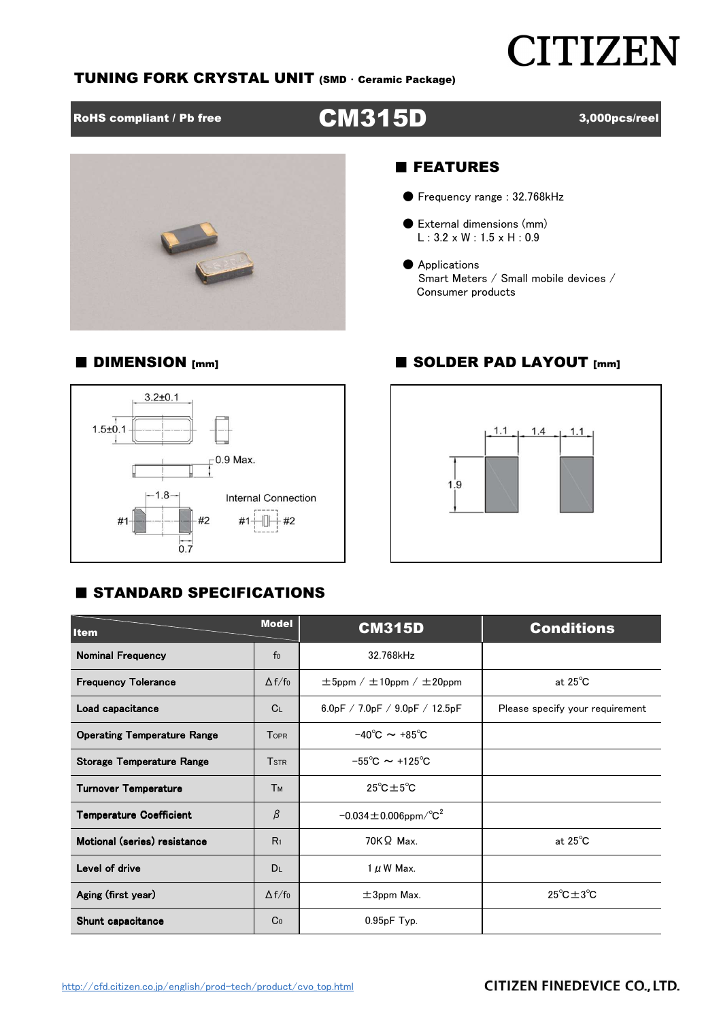## **CITIZEN**

#### TUNING FORK CRYSTAL UNIT (SMD ・ Ceramic Package)

### RoHS compliant / Pb free **CM315D** 3,000pcs/reel



#### ■ FEATURES

- Frequency range : 32.768kHz
- External dimensions (mm) L : 3.2 x W : 1.5 x H : 0.9
- Applications Smart Meters / Small mobile devices / Consumer products

#### ■ DIMENSION [mm] ■ SOLDER PAD LAYOUT [mm]





#### **E STANDARD SPECIFICATIONS**

| <b>Item</b>                        | <b>Model</b>            | <b>CM315D</b>                                       | <b>Conditions</b>                   |  |  |  |
|------------------------------------|-------------------------|-----------------------------------------------------|-------------------------------------|--|--|--|
| <b>Nominal Frequency</b>           | f <sub>0</sub>          | 32.768kHz                                           |                                     |  |  |  |
| <b>Frequency Tolerance</b>         | $\Delta f/f_0$          | $\pm 5$ ppm / $\pm 10$ ppm / $\pm 20$ ppm           | at $25^{\circ}$ C                   |  |  |  |
| Load capacitance                   | C <sub>L</sub>          | 6.0pF / 7.0pF / 9.0pF / 12.5pF                      | Please specify your requirement     |  |  |  |
| <b>Operating Temperature Range</b> | <b>TOPR</b>             | $-40^{\circ}$ C $\sim +85^{\circ}$ C                |                                     |  |  |  |
| <b>Storage Temperature Range</b>   | <b>T</b> <sub>STR</sub> | $-55^{\circ}$ C $\sim$ +125 $^{\circ}$ C            |                                     |  |  |  |
| <b>Turnover Temperature</b>        | <b>Тм</b>               | $25^{\circ}$ C $\pm 5^{\circ}$ C                    |                                     |  |  |  |
| <b>Temperature Coefficient</b>     | β                       | $-0.034 \pm 0.006$ ppm $\textdegree$ C <sup>2</sup> |                                     |  |  |  |
| Motional (series) resistance       | R <sub>1</sub>          | $70K\Omega$ Max.                                    | at $25^{\circ}$ C                   |  |  |  |
| Level of drive                     | <b>DL</b>               | $1 \mu$ W Max.                                      |                                     |  |  |  |
| Aging (first year)                 | $\Delta f/f_0$          | $\pm$ 3ppm Max.                                     | $25^{\circ}$ C $\pm$ 3 $^{\circ}$ C |  |  |  |
| Shunt capacitance                  | Co                      | $0.95pF$ Typ.                                       |                                     |  |  |  |